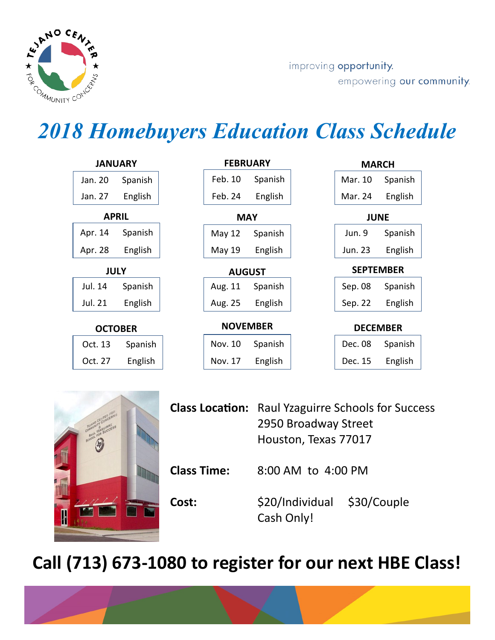

improving opportunity. empowering our community.

## *2018 Homebuyers Education Class Schedule*

| <b>JANUARY</b>   |         | <b>FEBRUARY</b> |                 |         | <b>MARCH</b>                                                                    |                  |         |
|------------------|---------|-----------------|-----------------|---------|---------------------------------------------------------------------------------|------------------|---------|
| Jan. 20          | Spanish |                 | Feb. 10         | Spanish |                                                                                 | Mar. 10          | Spanish |
| Jan. 27          | English |                 | Feb. 24         | English |                                                                                 | Mar. 24          | English |
| <b>APRIL</b>     |         |                 | <b>MAY</b>      |         |                                                                                 | <b>JUNE</b>      |         |
| Apr. 14          | Spanish |                 | May 12          | Spanish |                                                                                 | Jun. 9           | Spanish |
| Apr. 28          | English |                 | May 19          | English |                                                                                 | Jun. 23          | English |
| <b>JULY</b>      |         |                 | <b>AUGUST</b>   |         |                                                                                 | <b>SEPTEMBER</b> |         |
| Jul. 14          | Spanish |                 | Aug. 11         | Spanish |                                                                                 | Sep. 08          | Spanish |
| Jul. 21          | English |                 | Aug. 25         | English |                                                                                 | Sep. 22          | English |
| <b>OCTOBER</b>   |         |                 | <b>NOVEMBER</b> |         |                                                                                 | <b>DECEMBER</b>  |         |
| Oct. 13          | Spanish |                 | Nov. 10         | Spanish |                                                                                 | Dec. 08          | Spanish |
| Oct. 27          | English |                 | Nov. 17         | English |                                                                                 | Dec. 15          | English |
|                  |         |                 |                 |         |                                                                                 |                  |         |
| TEAMO CENTER FOR |         |                 |                 |         | <b>Class Location:</b> Raul Yzaguirre Schools for Succe<br>2950 Broadway Street |                  |         |



|                    | <b>Class Location:</b> Raul Yzaguirre Schools for Success |  |  |  |
|--------------------|-----------------------------------------------------------|--|--|--|
|                    | 2950 Broadway Street                                      |  |  |  |
|                    | Houston, Texas 77017                                      |  |  |  |
| <b>Class Time:</b> | 8:00 AM to 4:00 PM                                        |  |  |  |
| Cost:              | \$20/Individual \$30/Couple<br>Cash Only!                 |  |  |  |

## **Call (713) 673-1080 to register for our next HBE Class!**